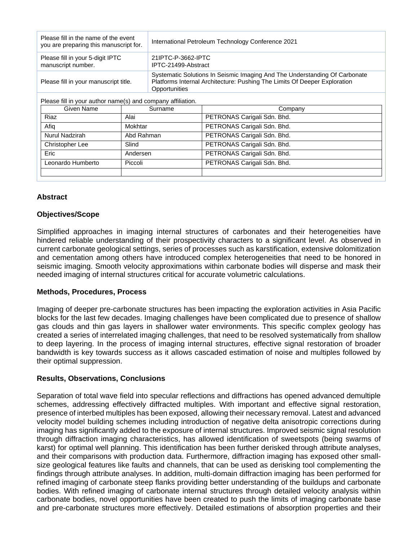| Please fill in the name of the event<br>you are preparing this manuscript for. |            | International Petroleum Technology Conference 2021                                                                                                                       |                             |
|--------------------------------------------------------------------------------|------------|--------------------------------------------------------------------------------------------------------------------------------------------------------------------------|-----------------------------|
| Please fill in your 5-digit IPTC<br>manuscript number.                         |            | 21IPTC-P-3662-IPTC<br>IPTC-21499-Abstract                                                                                                                                |                             |
| Please fill in your manuscript title.                                          |            | Systematic Solutions In Seismic Imaging And The Understanding Of Carbonate<br>Platforms Internal Architecture: Pushing The Limits Of Deeper Exploration<br>Opportunities |                             |
| Please fill in your author name(s) and company affiliation.                    |            |                                                                                                                                                                          |                             |
| Given Name                                                                     | Surname    |                                                                                                                                                                          | Company                     |
| Riaz                                                                           | Alai       |                                                                                                                                                                          | PETRONAS Carigali Sdn. Bhd. |
| Afiq                                                                           | Mokhtar    |                                                                                                                                                                          | PETRONAS Carigali Sdn. Bhd. |
| Nurul Nadzirah                                                                 | Abd Rahman |                                                                                                                                                                          | PETRONAS Carigali Sdn. Bhd. |
| Christopher Lee                                                                | Slind      |                                                                                                                                                                          | PETRONAS Carigali Sdn. Bhd. |
| Eric                                                                           | Andersen   |                                                                                                                                                                          | PETRONAS Carigali Sdn. Bhd. |
| Leonardo Humberto<br>Piccoli                                                   |            |                                                                                                                                                                          | PETRONAS Carigali Sdn. Bhd. |
|                                                                                |            |                                                                                                                                                                          |                             |

# **Abstract**

### **Objectives/Scope**

Simplified approaches in imaging internal structures of carbonates and their heterogeneities have hindered reliable understanding of their prospectivity characters to a significant level. As observed in current carbonate geological settings, series of processes such as karstification, extensive dolomitization and cementation among others have introduced complex heterogeneities that need to be honored in seismic imaging. Smooth velocity approximations within carbonate bodies will disperse and mask their needed imaging of internal structures critical for accurate volumetric calculations.

### **Methods, Procedures, Process**

Imaging of deeper pre-carbonate structures has been impacting the exploration activities in Asia Pacific blocks for the last few decades. Imaging challenges have been complicated due to presence of shallow gas clouds and thin gas layers in shallower water environments. This specific complex geology has created a series of interrelated imaging challenges, that need to be resolved systematically from shallow to deep layering. In the process of imaging internal structures, effective signal restoration of broader bandwidth is key towards success as it allows cascaded estimation of noise and multiples followed by their optimal suppression.

### **Results, Observations, Conclusions**

Separation of total wave field into specular reflections and diffractions has opened advanced demultiple schemes, addressing effectively diffracted multiples. With important and effective signal restoration, presence of interbed multiples has been exposed, allowing their necessary removal. Latest and advanced velocity model building schemes including introduction of negative delta anisotropic corrections during imaging has significantly added to the exposure of internal structures. Improved seismic signal resolution through diffraction imaging characteristics, has allowed identification of sweetspots (being swarms of karst) for optimal well planning. This identification has been further derisked through attribute analyses, and their comparisons with production data. Furthermore, diffraction imaging has exposed other smallsize geological features like faults and channels, that can be used as derisking tool complementing the findings through attribute analyses. In addition, multi-domain diffraction imaging has been performed for refined imaging of carbonate steep flanks providing better understanding of the buildups and carbonate bodies. With refined imaging of carbonate internal structures through detailed velocity analysis within carbonate bodies, novel opportunities have been created to push the limits of imaging carbonate base and pre-carbonate structures more effectively. Detailed estimations of absorption properties and their